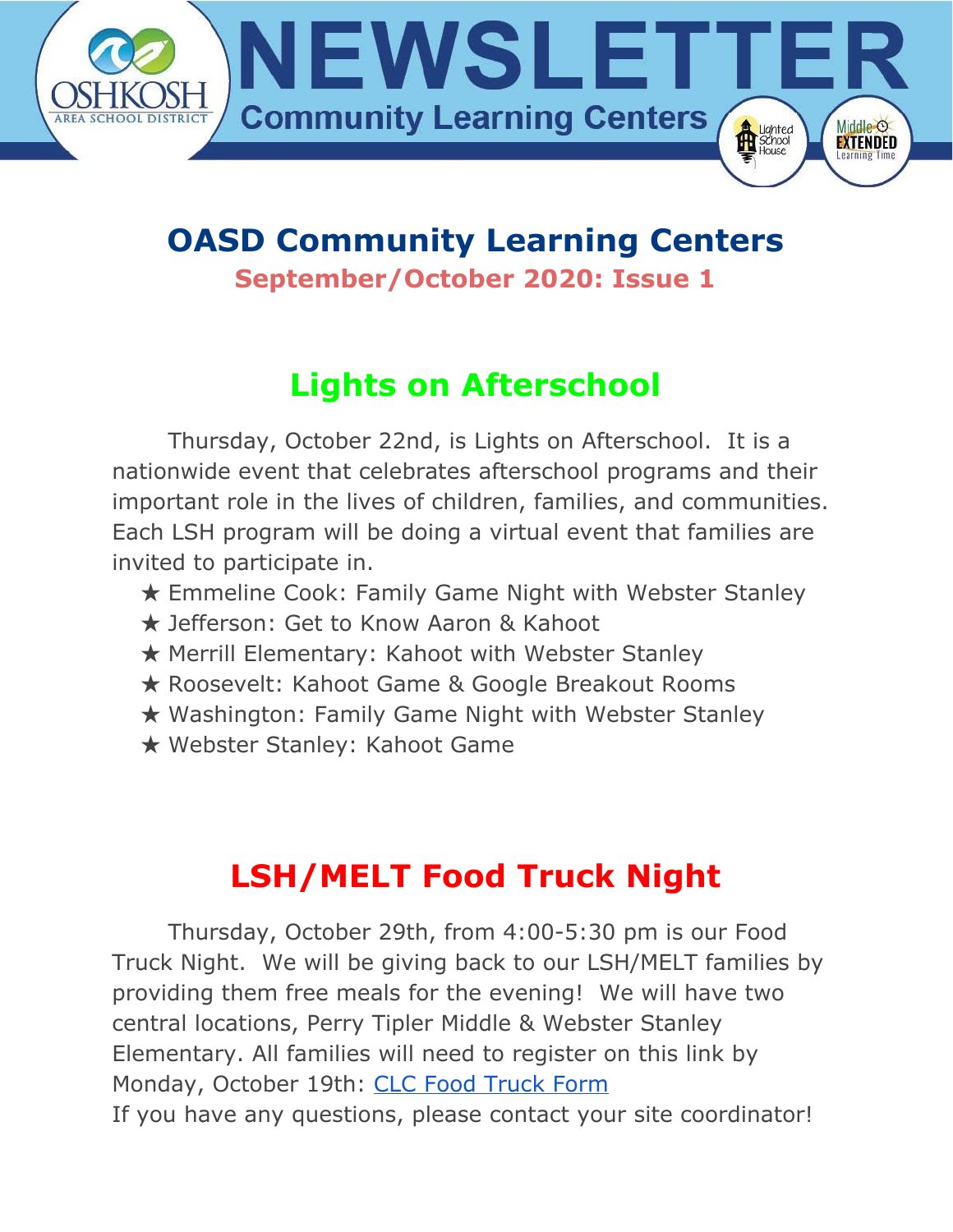

#### **OASD Community Learning Centers September/October 2020: Issue 1**

# **Lights on Afterschool**

Thursday, October 22nd, is Lights on Afterschool. It is a nationwide event that celebrates afterschool programs and their important role in the lives of children, families, and communities. Each LSH program will be doing a virtual event that families are invited to participate in.

- ★ Emmeline Cook: Family Game Night with Webster Stanley
- ★ Jefferson: Get to Know Aaron & Kahoot
- ★ Merrill Elementary: Kahoot with Webster Stanley
- ★ Roosevelt: Kahoot Game & Google Breakout Rooms
- ★ Washington: Family Game Night with Webster Stanley
- ★ Webster Stanley: Kahoot Game

## **LSH/MELT Food Truck Night**

Thursday, October 29th, from 4:00-5:30 pm is our Food Truck Night. We will be giving back to our LSH/MELT families by providing them free meals for the evening! We will have two central locations, Perry Tipler Middle & Webster Stanley Elementary. All families will need to register on this link by Monday, October 19th: CLC Food [Truck](https://docs.google.com/forms/d/e/1FAIpQLScYep_D0cN7fnPds3wN-9iYbbmn-iOqgxJ-2XPBbnpgQENFCw/viewform) Form If you have any questions, please contact your site coordinator!